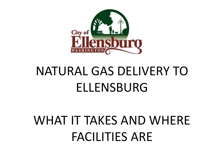

# NATURAL GAS DELIVERY TO ELLENSBURG

# WHAT IT TAKES AND WHERE FACILITIES ARE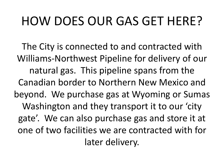## HOW DOES OUR GAS GET HERE?

The City is connected to and contracted with Williams-Northwest Pipeline for delivery of our natural gas. This pipeline spans from the Canadian border to Northern New Mexico and beyond. We purchase gas at Wyoming or Sumas Washington and they transport it to our 'city gate'. We can also purchase gas and store it at one of two facilities we are contracted with for later delivery.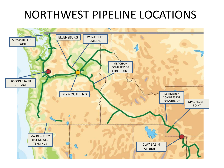#### NORTHWEST PIPELINE LOCATIONS

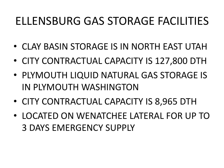#### ELLENSBURG GAS STORAGE FACILITIES

- CLAY BASIN STORAGE IS IN NORTH EAST UTAH
- CITY CONTRACTUAL CAPACITY IS 127,800 DTH
- PLYMOUTH LIQUID NATURAL GAS STORAGE IS IN PLYMOUTH WASHINGTON
- CITY CONTRACTUAL CAPACITY IS 8,965 DTH
- LOCATED ON WENATCHEE LATERAL FOR UP TO 3 DAYS EMERGENCY SUPPLY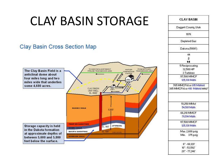## CLAY BASIN STORAGE

#### **Clay Basin Cross Section Map**



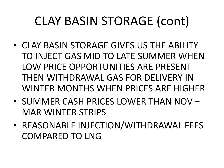# CLAY BASIN STORAGE (cont)

- CLAY BASIN STORAGE GIVES US THE ABILITY TO INJECT GAS MID TO LATE SUMMER WHEN LOW PRICE OPPORTUNITIES ARE PRESENT THEN WITHDRAWAL GAS FOR DELIVERY IN WINTER MONTHS WHEN PRICES ARE HIGHER
- SUMMER CASH PRICES LOWER THAN NOV MAR WINTER STRIPS
- REASONABLE INJECTION/WITHDRAWAL FEES COMPARED TO LNG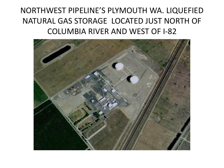NORTHWEST PIPELINE'S PLYMOUTH WA. LIQUEFIED NATURAL GAS STORAGE LOCATED JUST NORTH OF COLUMBIA RIVER AND WEST OF I-82

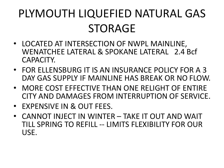## PLYMOUTH LIQUEFIED NATURAL GAS STORAGE

- LOCATED AT INTERSECTION OF NWPL MAINLINE, WENATCHEE LATERAL & SPOKANE LATERAL 2.4 Bcf CAPACITY.
- FOR ELLENSBURG IT IS AN INSURANCE POLICY FOR A 3 DAY GAS SUPPLY IF MAINLINE HAS BREAK OR NO FLOW.
- MORE COST EFFECTIVE THAN ONE RELIGHT OF ENTIRE CITY AND DAMAGES FROM INTERRUPTION OF SERVICE.
- EXPENSIVE IN & OUT FEES.
- CANNOT INJECT IN WINTER TAKE IT OUT AND WAIT TILL SPRING TO REFILL -- LIMITS FLEXIBILITY FOR OUR USE.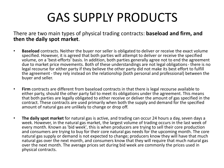## GAS SUPPLY PRODUCTS

There are two main types of physical trading contracts: **baseload and firm, and then the daily spot market**.

- **Baseload** contracts. Neither the buyer nor seller is obligated to deliver or receive the exact volume specified. However, it is agreed that both parties will attempt to deliver or receive the specified volume, on a 'best-efforts' basis. In addition, both parties generally agree not to end the agreement due to market price movements. Both of these understandings are not legal obligations - there is no legal recourse for either party if they believe the other party did not make its best effort to fulfill the agreement - they rely instead on the relationship (both personal and professional) between the buyer and seller.
- **Firm** contracts are different from baseload contracts in that there is legal recourse available to either party, should the other party fail to meet its obligations under the agreement. This means that both parties are legally obligated to either receive or deliver the amount of gas specified in the contract. These contracts are used primarily when both the supply and demand for the specified amount of natural gas are unlikely to change or drop off.
- **The daily spot market** for natural gas is active, and trading can occur 24 hours a day, seven days a week. However, in the natural gas market, the largest volume of trading occurs in the last week of every month. Known as 'bid week', this is when producers are trying to sell their core production and consumers are trying to buy for their core natural gas needs for the upcoming month. The core natural gas supply or demand is not expected to change; producers know they will have that much natural gas over the next month, and consumers know that they will require that much natural gas over the next month. The average prices set during bid week are commonly the prices used in physical contracts.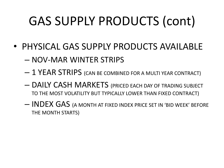# GAS SUPPLY PRODUCTS (cont)

- PHYSICAL GAS SUPPLY PRODUCTS AVAILABLE
	- NOV-MAR WINTER STRIPS
	- 1 YEAR STRIPS (CAN BE COMBINED FOR A MULTI YEAR CONTRACT)
	- DAILY CASH MARKETS (PRICED EACH DAY OF TRADING SUBJECT TO THE MOST VOLATILITY BUT TYPICALLY LOWER THAN FIXED CONTRACT)
	- INDEX GAS (A MONTH AT FIXED INDEX PRICE SET IN 'BID WEEK' BEFORE THE MONTH STARTS)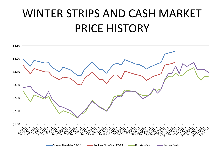#### WINTER STRIPS AND CASH MARKET PRICE HISTORY

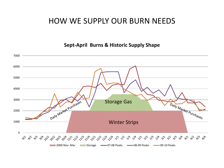#### HOW WE SUPPLY OUR BURN NEEDS

**Sept-April Burns & Historic Supply Shape**

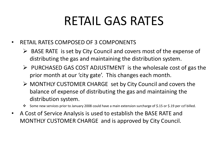## RETAIL GAS RATES

- RETAIL RATES COMPOSED OF 3 COMPONENTS
	- $\triangleright$  BASE RATE is set by City Council and covers most of the expense of distributing the gas and maintaining the distribution system.
	- $\triangleright$  PURCHASED GAS COST ADJUSTMENT is the wholesale cost of gas the prior month at our 'city gate'. This changes each month.
	- MONTHLY CUSTOMER CHARGE set by City Council and covers the balance of expense of distributing the gas and maintaining the distribution system.
	- Some new services prior to January 2008 could have a main extension surcharge of \$.15 or \$.19 per ccf billed.
- A Cost of Service Analysis is used to establish the BASE RATE and MONTHLY CUSTOMER CHARGE and is approved by City Council.